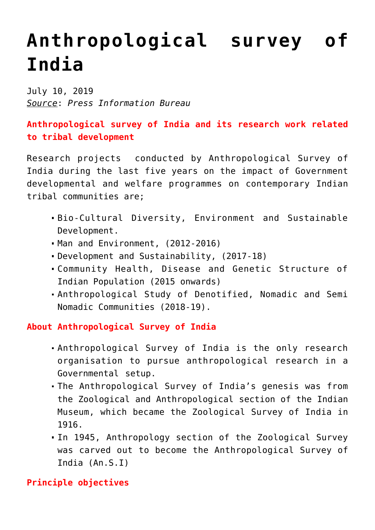## **[Anthropological survey of](https://journalsofindia.com/anthropological-survey-of-india/) [India](https://journalsofindia.com/anthropological-survey-of-india/)**

July 10, 2019 *Source*: *Press Information Bureau*

## **Anthropological survey of India and its research work related to tribal development**

Research projects conducted by Anthropological Survey of India during the last five years on the impact of Government developmental and welfare programmes on contemporary Indian tribal communities are;

- Bio-Cultural Diversity, Environment and Sustainable Development.
- Man and Environment, (2012-2016)
- Development and Sustainability, (2017-18)
- Community Health, Disease and Genetic Structure of Indian Population (2015 onwards)
- Anthropological Study of Denotified, Nomadic and Semi Nomadic Communities (2018-19).

## **About Anthropological Survey of India**

- Anthropological Survey of India is the only research organisation to pursue anthropological research in a Governmental setup.
- The Anthropological Survey of India's genesis was from the Zoological and Anthropological section of the Indian Museum, which became the Zoological Survey of India in 1916.
- In 1945, Anthropology section of the Zoological Survey was carved out to become the Anthropological Survey of India (An.S.I)

**Principle objectives**